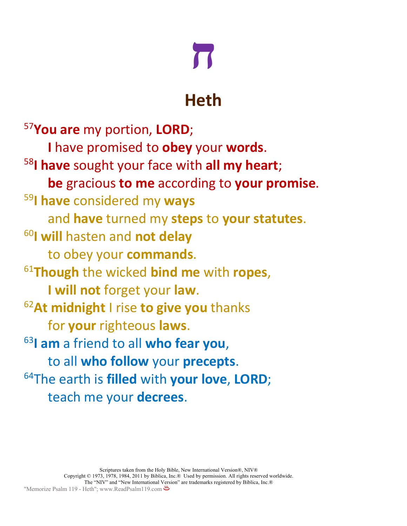# **ח**

### **Heth**

<sup>57</sup>**You are** my portion, **LORD**; **I** have promised to **obey** your **words**. <sup>58</sup>**I have** sought your face with **all my heart**; **be** gracious **to me** according to **your promise**. 59 **I have** considered my **ways** and **have** turned my **steps** to **your statutes**. <sup>60</sup>**I will** hasten and **not delay** to obey your **commands**. <sup>61</sup>**Though** the wicked **bind me** with **ropes**, **I will not** forget your **law**. <sup>62</sup>**At midnight** I rise **to give you** thanks for **your** righteous **laws**. <sup>63</sup>**I am** a friend to all **who fear you**, to all **who follow** your **precepts**. 64The earth is **filled** with **your love**, **LORD**; teach me your **decrees**.